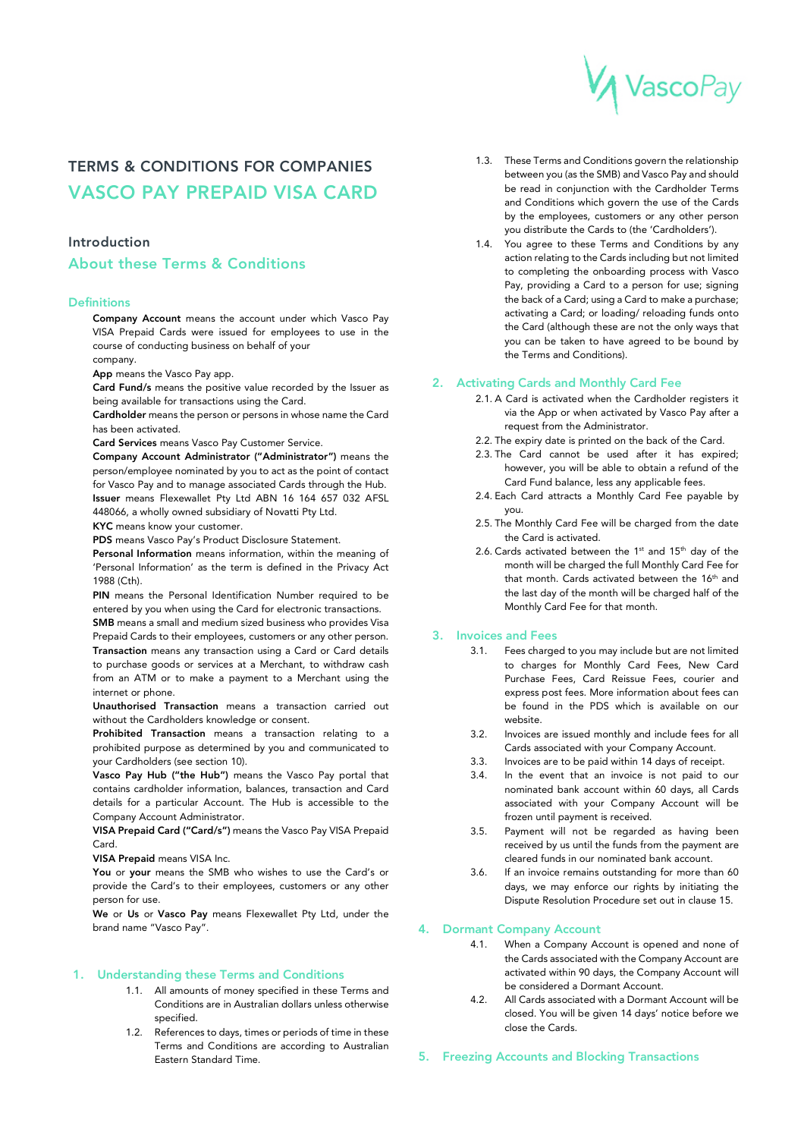# VascoPay

# TERMS & CONDITIONS FOR COMPANIES VASCO PAY PREPAID VISA CARD

# Introduction

# About these Terms & Conditions

#### **Definitions**

Company Account means the account under which Vasco Pay VISA Prepaid Cards were issued for employees to use in the course of conducting business on behalf of your company.

App means the Vasco Pay app.

Card Fund/s means the positive value recorded by the Issuer as being available for transactions using the Card.

Cardholder means the person or persons in whose name the Card has been activated.

Card Services means Vasco Pay Customer Service.

Company Account Administrator ("Administrator") means the person/employee nominated by you to act as the point of contact for Vasco Pay and to manage associated Cards through the Hub. Issuer means Flexewallet Pty Ltd ABN 16 164 657 032 AFSL 448066, a wholly owned subsidiary of Novatti Pty Ltd.

KYC means know your customer.

PDS means Vasco Pay's Product Disclosure Statement.

Personal Information means information, within the meaning of 'Personal Information' as the term is defined in the Privacy Act 1988 (Cth).

PIN means the Personal Identification Number required to be entered by you when using the Card for electronic transactions.

SMB means a small and medium sized business who provides Visa Prepaid Cards to their employees, customers or any other person. Transaction means any transaction using a Card or Card details to purchase goods or services at a Merchant, to withdraw cash from an ATM or to make a payment to a Merchant using the internet or phone.

Unauthorised Transaction means a transaction carried out without the Cardholders knowledge or consent.

Prohibited Transaction means a transaction relating to a prohibited purpose as determined by you and communicated to your Cardholders (see section 10).

Vasco Pay Hub ("the Hub") means the Vasco Pay portal that contains cardholder information, balances, transaction and Card details for a particular Account. The Hub is accessible to the Company Account Administrator.

VISA Prepaid Card ("Card/s") means the Vasco Pay VISA Prepaid Card.

VISA Prepaid means VISA Inc.

You or your means the SMB who wishes to use the Card's or provide the Card's to their employees, customers or any other person for use.

We or Us or Vasco Pay means Flexewallet Pty Ltd, under the brand name "Vasco Pay".

#### 1. Understanding these Terms and Conditions

- 1.1. All amounts of money specified in these Terms and Conditions are in Australian dollars unless otherwise specified.
- 1.2. References to days, times or periods of time in these Terms and Conditions are according to Australian Eastern Standard Time.
- 1.3. These Terms and Conditions govern the relationship between you (as the SMB) and Vasco Pay and should be read in conjunction with the Cardholder Terms and Conditions which govern the use of the Cards by the employees, customers or any other person you distribute the Cards to (the 'Cardholders').
- 1.4. You agree to these Terms and Conditions by any action relating to the Cards including but not limited to completing the onboarding process with Vasco Pay, providing a Card to a person for use; signing the back of a Card; using a Card to make a purchase; activating a Card; or loading/ reloading funds onto the Card (although these are not the only ways that you can be taken to have agreed to be bound by the Terms and Conditions).

#### 2. Activating Cards and Monthly Card Fee

- 2.1. A Card is activated when the Cardholder registers it via the App or when activated by Vasco Pay after a request from the Administrator.
- 2.2. The expiry date is printed on the back of the Card.
- 2.3. The Card cannot be used after it has expired; however, you will be able to obtain a refund of the Card Fund balance, less any applicable fees.
- 2.4. Each Card attracts a Monthly Card Fee payable by you.
- 2.5. The Monthly Card Fee will be charged from the date the Card is activated.
- 2.6. Cards activated between the  $1<sup>st</sup>$  and  $15<sup>th</sup>$  day of the month will be charged the full Monthly Card Fee for that month. Cards activated between the 16<sup>th</sup> and the last day of the month will be charged half of the Monthly Card Fee for that month.

#### 3. Invoices and Fees

- 3.1. Fees charged to you may include but are not limited to charges for Monthly Card Fees, New Card Purchase Fees, Card Reissue Fees, courier and express post fees. More information about fees can be found in the PDS which is available on our website.
- 3.2. Invoices are issued monthly and include fees for all Cards associated with your Company Account.
- 3.3. Invoices are to be paid within 14 days of receipt.
- 3.4. In the event that an invoice is not paid to our nominated bank account within 60 days, all Cards associated with your Company Account will be frozen until payment is received.
- 3.5. Payment will not be regarded as having been received by us until the funds from the payment are cleared funds in our nominated bank account.
- 3.6. If an invoice remains outstanding for more than 60 days, we may enforce our rights by initiating the Dispute Resolution Procedure set out in clause 15.

#### 4. Dormant Company Account

- 4.1. When a Company Account is opened and none of the Cards associated with the Company Account are activated within 90 days, the Company Account will be considered a Dormant Account.
- 4.2. All Cards associated with a Dormant Account will be closed. You will be given 14 days' notice before we close the Cards.
- 5. Freezing Accounts and Blocking Transactions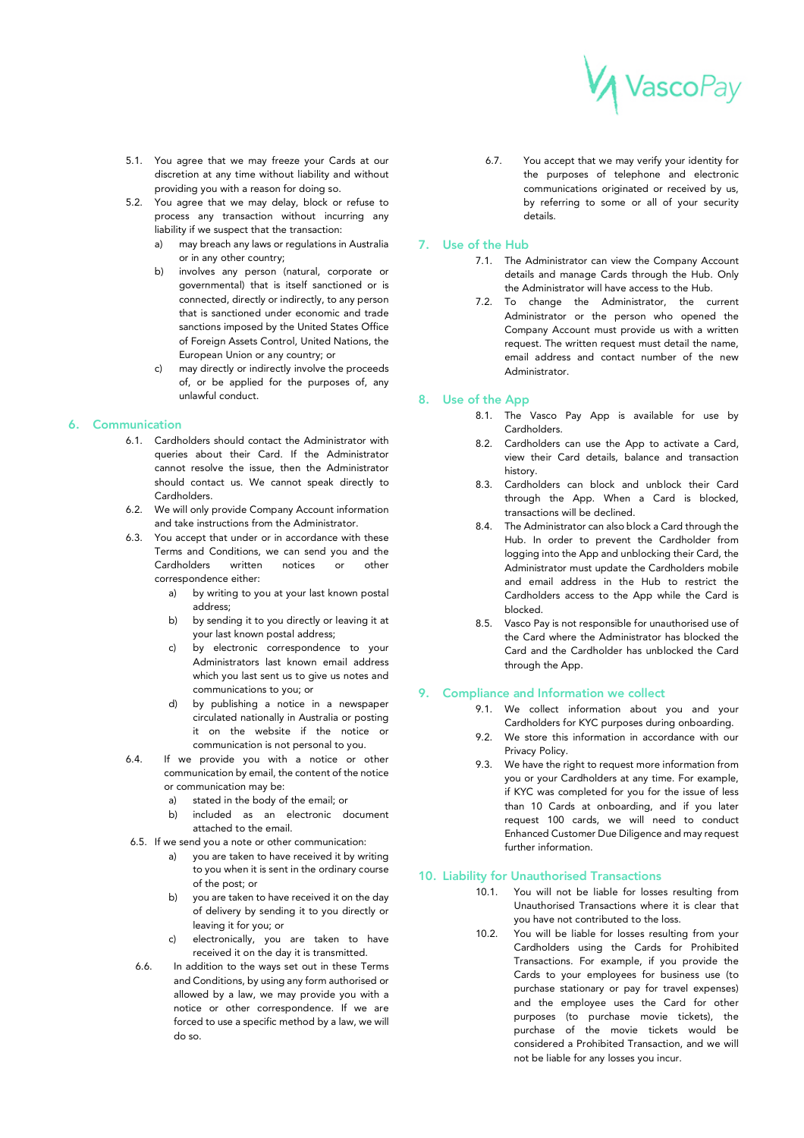

- 5.1. You agree that we may freeze your Cards at our discretion at any time without liability and without providing you with a reason for doing so.
- 5.2. You agree that we may delay, block or refuse to process any transaction without incurring any liability if we suspect that the transaction:
	- a) may breach any laws or regulations in Australia or in any other country;
	- b) involves any person (natural, corporate or governmental) that is itself sanctioned or is connected, directly or indirectly, to any person that is sanctioned under economic and trade sanctions imposed by the United States Office of Foreign Assets Control, United Nations, the European Union or any country; or
	- c) may directly or indirectly involve the proceeds of, or be applied for the purposes of, any unlawful conduct.

#### 6. Communication

- 6.1. Cardholders should contact the Administrator with queries about their Card. If the Administrator cannot resolve the issue, then the Administrator should contact us. We cannot speak directly to Cardholders.
- 6.2. We will only provide Company Account information and take instructions from the Administrator.
- 6.3. You accept that under or in accordance with these Terms and Conditions, we can send you and the Cardholders written notices or other correspondence either:
	- a) by writing to you at your last known postal address;
	- b) by sending it to you directly or leaving it at your last known postal address;
	- c) by electronic correspondence to your Administrators last known email address which you last sent us to give us notes and communications to you; or
	- d) by publishing a notice in a newspaper circulated nationally in Australia or posting it on the website if the notice or communication is not personal to you.
- 6.4. If we provide you with a notice or other communication by email, the content of the notice or communication may be:
	- a) stated in the body of the email; or
	- b) included as an electronic document attached to the email.
- 6.5. If we send you a note or other communication:
	- you are taken to have received it by writing to you when it is sent in the ordinary course of the post; or
	- b) you are taken to have received it on the day of delivery by sending it to you directly or leaving it for you; or
	- c) electronically, you are taken to have received it on the day it is transmitted.
- 6.6. In addition to the ways set out in these Terms and Conditions, by using any form authorised or allowed by a law, we may provide you with a notice or other correspondence. If we are forced to use a specific method by a law, we will do so.

6.7. You accept that we may verify your identity for the purposes of telephone and electronic communications originated or received by us, by referring to some or all of your security details.

#### 7. Use of the Hub

- 7.1. The Administrator can view the Company Account details and manage Cards through the Hub. Only the Administrator will have access to the Hub.
- 7.2. To change the Administrator, the current Administrator or the person who opened the Company Account must provide us with a written request. The written request must detail the name, email address and contact number of the new Administrator.

# 8. Use of the App

- 8.1. The Vasco Pay App is available for use by Cardholders.
- 8.2. Cardholders can use the App to activate a Card, view their Card details, balance and transaction history.
- 8.3. Cardholders can block and unblock their Card through the App. When a Card is blocked, transactions will be declined.
- 8.4. The Administrator can also block a Card through the Hub. In order to prevent the Cardholder from logging into the App and unblocking their Card, the Administrator must update the Cardholders mobile and email address in the Hub to restrict the Cardholders access to the App while the Card is blocked.
- 8.5. Vasco Pay is not responsible for unauthorised use of the Card where the Administrator has blocked the Card and the Cardholder has unblocked the Card through the App.

#### 9. Compliance and Information we collect

- 9.1. We collect information about you and your Cardholders for KYC purposes during onboarding.
- 9.2. We store this information in accordance with our Privacy Policy.
- 9.3. We have the right to request more information from you or your Cardholders at any time. For example, if KYC was completed for you for the issue of less than 10 Cards at onboarding, and if you later request 100 cards, we will need to conduct Enhanced Customer Due Diligence and may request further information.

# 10. Liability for Unauthorised Transactions

- 10.1. You will not be liable for losses resulting from Unauthorised Transactions where it is clear that you have not contributed to the loss.
- 10.2. You will be liable for losses resulting from your Cardholders using the Cards for Prohibited Transactions. For example, if you provide the Cards to your employees for business use (to purchase stationary or pay for travel expenses) and the employee uses the Card for other purposes (to purchase movie tickets), the purchase of the movie tickets would be considered a Prohibited Transaction, and we will not be liable for any losses you incur.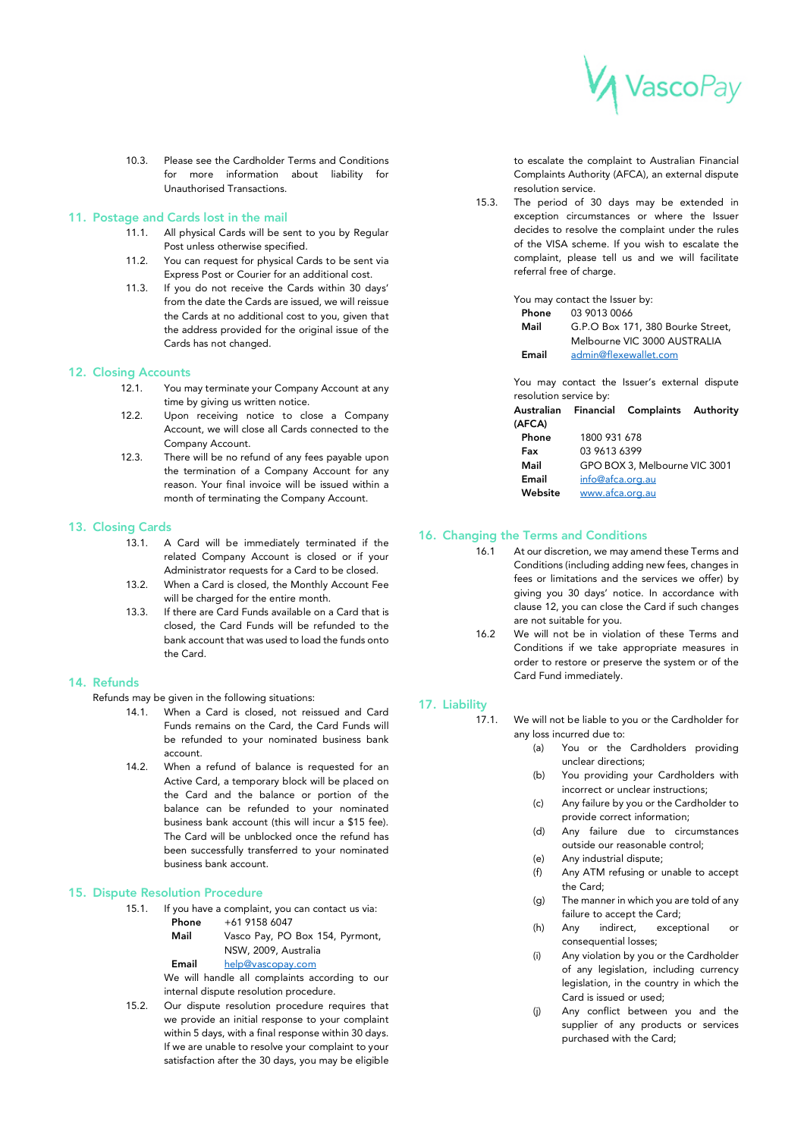

10.3. Please see the Cardholder Terms and Conditions for more information about liability for Unauthorised Transactions.

#### 11. Postage and Cards lost in the mail

- 11.1. All physical Cards will be sent to you by Regular Post unless otherwise specified.
- 11.2. You can request for physical Cards to be sent via Express Post or Courier for an additional cost.
- 11.3. If you do not receive the Cards within 30 days' from the date the Cards are issued, we will reissue the Cards at no additional cost to you, given that the address provided for the original issue of the Cards has not changed.

#### 12. Closing Accounts

- 12.1. You may terminate your Company Account at any time by giving us written notice.
- 12.2. Upon receiving notice to close a Company Account, we will close all Cards connected to the Company Account.
- 12.3. There will be no refund of any fees payable upon the termination of a Company Account for any reason. Your final invoice will be issued within a month of terminating the Company Account.

# 13. Closing Cards

- 13.1. A Card will be immediately terminated if the related Company Account is closed or if your Administrator requests for a Card to be closed.
- 13.2. When a Card is closed, the Monthly Account Fee will be charged for the entire month.
- 13.3. If there are Card Funds available on a Card that is closed, the Card Funds will be refunded to the bank account that was used to load the funds onto the Card.

#### 14. Refunds

Refunds may be given in the following situations:

- 14.1. When a Card is closed, not reissued and Card Funds remains on the Card, the Card Funds will be refunded to your nominated business bank account.
- 14.2. When a refund of balance is requested for an Active Card, a temporary block will be placed on the Card and the balance or portion of the balance can be refunded to your nominated business bank account (this will incur a \$15 fee). The Card will be unblocked once the refund has been successfully transferred to your nominated business bank account.

#### 15. Dispute Resolution Procedure

- 15.1. If you have a complaint, you can contact us via:
	- Phone +61 9158 6047
	- Mail Vasco Pay, PO Box 154, Pyrmont, NSW, 2009, Australia
	- Email help@vascopay.com

We will handle all complaints according to our internal dispute resolution procedure.

15.2. Our dispute resolution procedure requires that we provide an initial response to your complaint within 5 days, with a final response within 30 days. If we are unable to resolve your complaint to your satisfaction after the 30 days, you may be eligible

to escalate the complaint to Australian Financial Complaints Authority (AFCA), an external dispute resolution service.

15.3. The period of 30 days may be extended in exception circumstances or where the Issuer decides to resolve the complaint under the rules of the VISA scheme. If you wish to escalate the complaint, please tell us and we will facilitate referral free of charge.

|       | You may contact the Issuer by:    |
|-------|-----------------------------------|
| Phone | 03 9013 0066                      |
| Mail  | G.P.O Box 171, 380 Bourke Street, |
|       | Melbourne VIC 3000 AUSTRALIA      |
| Email | admin@flexewallet.com             |

You may contact the Issuer's external dispute resolution service by:

| Australian |                               | Financial Complaints Authority |  |
|------------|-------------------------------|--------------------------------|--|
| (AFCA)     |                               |                                |  |
| Phone      | 1800 931 678                  |                                |  |
| Fax        | 03 9613 6399                  |                                |  |
| Mail       | GPO BOX 3, Melbourne VIC 3001 |                                |  |
| Email      | info@afca.org.au              |                                |  |
| Website    | www.afca.org.au               |                                |  |

#### 16. Changing the Terms and Conditions

- 16.1 At our discretion, we may amend these Terms and Conditions (including adding new fees, changes in fees or limitations and the services we offer) by giving you 30 days' notice. In accordance with clause 12, you can close the Card if such changes are not suitable for you.
- 16.2 We will not be in violation of these Terms and Conditions if we take appropriate measures in order to restore or preserve the system or of the Card Fund immediately.

# 17. Liability

17.1. We will not be liable to you or the Cardholder for any loss incurred due to:

- (a) You or the Cardholders providing unclear directions;
	- (b) You providing your Cardholders with incorrect or unclear instructions;
	- (c) Any failure by you or the Cardholder to provide correct information;
	- (d) Any failure due to circumstances outside our reasonable control;
	- (e) Any industrial dispute;
	- (f) Any ATM refusing or unable to accept the Card;
- (g) The manner in which you are told of any failure to accept the Card;<br>Anv indirect, excep
- (h) Any indirect, exceptional or consequential losses;
- (i) Any violation by you or the Cardholder of any legislation, including currency legislation, in the country in which the Card is issued or used;
- (j) Any conflict between you and the supplier of any products or services purchased with the Card;